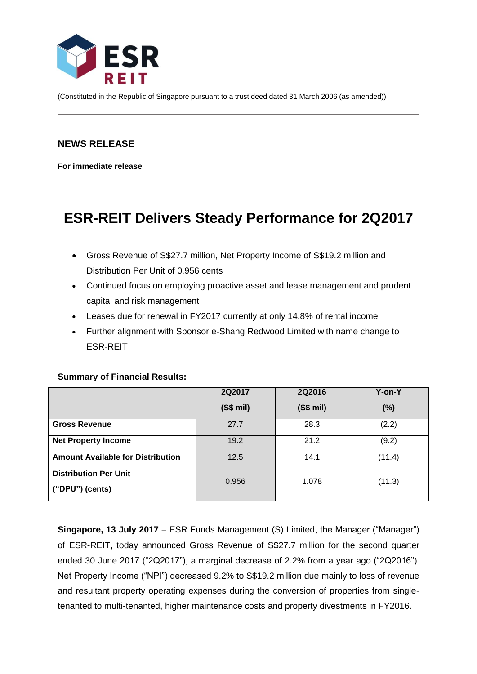

(Constituted in the Republic of Singapore pursuant to a trust deed dated 31 March 2006 (as amended))

## **NEWS RELEASE**

**For immediate release**

# **ESR-REIT Delivers Steady Performance for 2Q2017**

- Gross Revenue of S\$27.7 million, Net Property Income of S\$19.2 million and Distribution Per Unit of 0.956 cents
- Continued focus on employing proactive asset and lease management and prudent capital and risk management
- Leases due for renewal in FY2017 currently at only 14.8% of rental income
- Further alignment with Sponsor e-Shang Redwood Limited with name change to ESR-REIT

#### **Summary of Financial Results:**

|                                          | 2Q2017   | 2Q2016   | Y-on-Y |
|------------------------------------------|----------|----------|--------|
|                                          | (S\$ mi) | (S\$ mi) | (%)    |
| <b>Gross Revenue</b>                     | 27.7     | 28.3     | (2.2)  |
| <b>Net Property Income</b>               | 19.2     | 21.2     | (9.2)  |
| <b>Amount Available for Distribution</b> | 12.5     | 14.1     | (11.4) |
| <b>Distribution Per Unit</b>             | 0.956    | 1.078    | (11.3) |
| $("DPU")$ (cents)                        |          |          |        |

**Singapore, 13 July 2017** ESR Funds Management (S) Limited, the Manager ("Manager") of ESR-REIT**,** today announced Gross Revenue of S\$27.7 million for the second quarter ended 30 June 2017 ("2Q2017"), a marginal decrease of 2.2% from a year ago ("2Q2016"). Net Property Income ("NPI") decreased 9.2% to S\$19.2 million due mainly to loss of revenue and resultant property operating expenses during the conversion of properties from singletenanted to multi-tenanted, higher maintenance costs and property divestments in FY2016.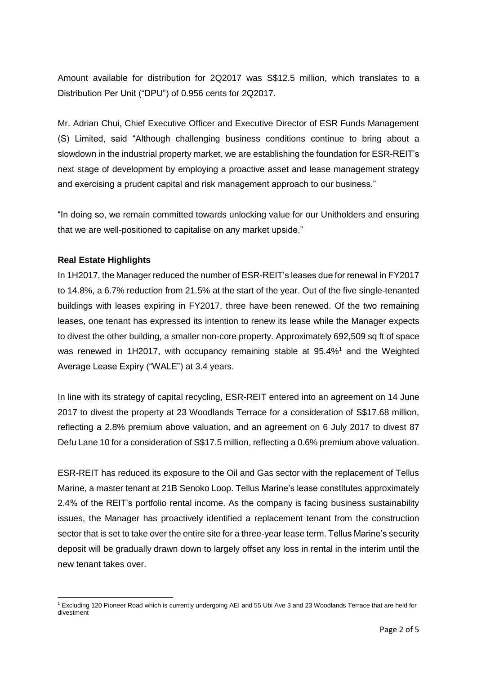Amount available for distribution for 2Q2017 was S\$12.5 million, which translates to a Distribution Per Unit ("DPU") of 0.956 cents for 2Q2017.

Mr. Adrian Chui, Chief Executive Officer and Executive Director of ESR Funds Management (S) Limited, said "Although challenging business conditions continue to bring about a slowdown in the industrial property market, we are establishing the foundation for ESR-REIT's next stage of development by employing a proactive asset and lease management strategy and exercising a prudent capital and risk management approach to our business."

"In doing so, we remain committed towards unlocking value for our Unitholders and ensuring that we are well-positioned to capitalise on any market upside."

### **Real Estate Highlights**

In 1H2017, the Manager reduced the number of ESR-REIT's leases due for renewal in FY2017 to 14.8%, a 6.7% reduction from 21.5% at the start of the year. Out of the five single-tenanted buildings with leases expiring in FY2017, three have been renewed. Of the two remaining leases, one tenant has expressed its intention to renew its lease while the Manager expects to divest the other building, a smaller non-core property. Approximately 692,509 sq ft of space was renewed in 1H2017, with occupancy remaining stable at 95.4%<sup>1</sup> and the Weighted Average Lease Expiry ("WALE") at 3.4 years.

In line with its strategy of capital recycling, ESR-REIT entered into an agreement on 14 June 2017 to divest the property at 23 Woodlands Terrace for a consideration of S\$17.68 million, reflecting a 2.8% premium above valuation, and an agreement on 6 July 2017 to divest 87 Defu Lane 10 for a consideration of S\$17.5 million, reflecting a 0.6% premium above valuation.

ESR-REIT has reduced its exposure to the Oil and Gas sector with the replacement of Tellus Marine, a master tenant at 21B Senoko Loop. Tellus Marine's lease constitutes approximately 2.4% of the REIT's portfolio rental income. As the company is facing business sustainability issues, the Manager has proactively identified a replacement tenant from the construction sector that is set to take over the entire site for a three-year lease term. Tellus Marine's security deposit will be gradually drawn down to largely offset any loss in rental in the interim until the new tenant takes over.

<sup>1</sup> <sup>1</sup> Excluding 120 Pioneer Road which is currently undergoing AEI and 55 Ubi Ave 3 and 23 Woodlands Terrace that are held for divestment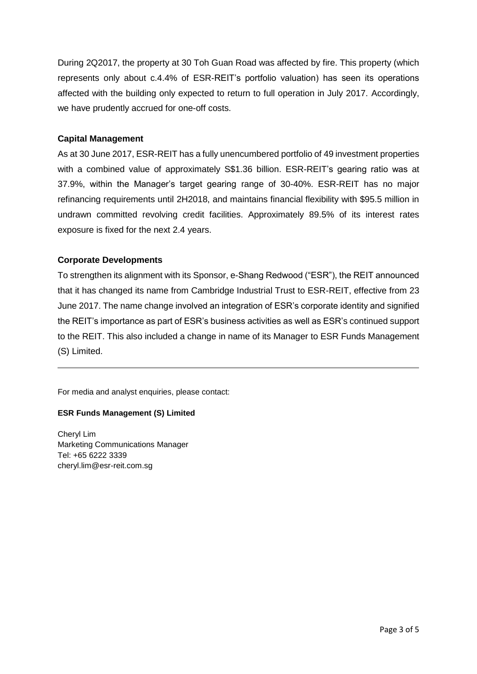During 2Q2017, the property at 30 Toh Guan Road was affected by fire. This property (which represents only about c.4.4% of ESR-REIT's portfolio valuation) has seen its operations affected with the building only expected to return to full operation in July 2017. Accordingly, we have prudently accrued for one-off costs.

#### **Capital Management**

As at 30 June 2017, ESR-REIT has a fully unencumbered portfolio of 49 investment properties with a combined value of approximately S\$1.36 billion. ESR-REIT's gearing ratio was at 37.9%, within the Manager's target gearing range of 30-40%. ESR-REIT has no major refinancing requirements until 2H2018, and maintains financial flexibility with \$95.5 million in undrawn committed revolving credit facilities. Approximately 89.5% of its interest rates exposure is fixed for the next 2.4 years.

#### **Corporate Developments**

To strengthen its alignment with its Sponsor, e-Shang Redwood ("ESR"), the REIT announced that it has changed its name from Cambridge Industrial Trust to ESR-REIT, effective from 23 June 2017. The name change involved an integration of ESR's corporate identity and signified the REIT's importance as part of ESR's business activities as well as ESR's continued support to the REIT. This also included a change in name of its Manager to ESR Funds Management (S) Limited.

For media and analyst enquiries, please contact:

#### **ESR Funds Management (S) Limited**

Cheryl Lim Marketing Communications Manager Tel: +65 6222 3339 cheryl.lim@esr-reit.com.sg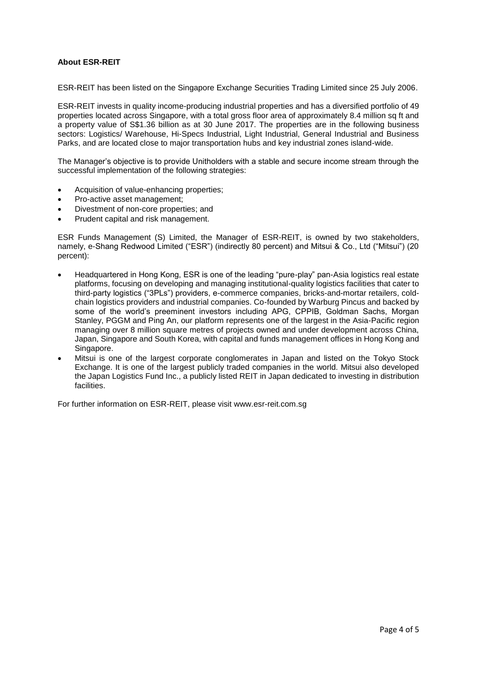#### **About ESR-REIT**

ESR-REIT has been listed on the Singapore Exchange Securities Trading Limited since 25 July 2006.

ESR-REIT invests in quality income-producing industrial properties and has a diversified portfolio of 49 properties located across Singapore, with a total gross floor area of approximately 8.4 million sq ft and a property value of S\$1.36 billion as at 30 June 2017. The properties are in the following business sectors: Logistics/ Warehouse, Hi-Specs Industrial, Light Industrial, General Industrial and Business Parks, and are located close to major transportation hubs and key industrial zones island-wide.

The Manager's objective is to provide Unitholders with a stable and secure income stream through the successful implementation of the following strategies:

- Acquisition of value-enhancing properties;
- Pro-active asset management;
- Divestment of non-core properties; and
- Prudent capital and risk management.

ESR Funds Management (S) Limited, the Manager of ESR-REIT, is owned by two stakeholders, namely, e-Shang Redwood Limited ("ESR") (indirectly 80 percent) and Mitsui & Co., Ltd ("Mitsui") (20 percent):

- Headquartered in Hong Kong, ESR is one of the leading "pure-play" pan-Asia logistics real estate platforms, focusing on developing and managing institutional-quality logistics facilities that cater to third-party logistics ("3PLs") providers, e-commerce companies, bricks-and-mortar retailers, coldchain logistics providers and industrial companies. Co-founded by Warburg Pincus and backed by some of the world's preeminent investors including APG, CPPIB, Goldman Sachs, Morgan Stanley, PGGM and Ping An, our platform represents one of the largest in the Asia-Pacific region managing over 8 million square metres of projects owned and under development across China, Japan, Singapore and South Korea, with capital and funds management offices in Hong Kong and Singapore.
- Mitsui is one of the largest corporate conglomerates in Japan and listed on the Tokyo Stock Exchange. It is one of the largest publicly traded companies in the world. Mitsui also developed the Japan Logistics Fund Inc., a publicly listed REIT in Japan dedicated to investing in distribution facilities.

For further information on ESR-REIT, please visit www.esr-reit.com.sg